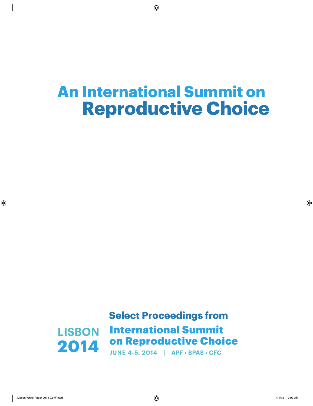# **An International Summit on Reproductive Choice**

**LISBON** 2014 **Select Proceedings from International Summit** on Reproductive Choice

**JUNE 4-5, 2014 | APF · BPAS · CFC**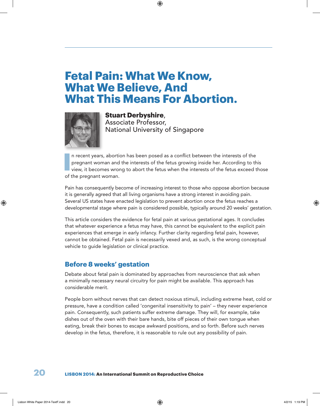# **Fetal Pain: What We Know, What We Believe, And What This Means For Abortion.**



#### **Stuart Derbyshire**, Associate Professor, National University of Singapore

**I** n recent years, abortion has been posed as a conflict between the interests of the pregnant woman and the interests of the fetus growing inside her. According to this view, it becomes wrong to abort the fetus when the interests of the fetus exceed those of the pregnant woman.

Pain has consequently become of increasing interest to those who oppose abortion because it is generally agreed that all living organisms have a strong interest in avoiding pain. Several US states have enacted legislation to prevent abortion once the fetus reaches a developmental stage where pain is considered possible, typically around 20 weeks' gestation.

This article considers the evidence for fetal pain at various gestational ages. It concludes that whatever experience a fetus may have, this cannot be equivalent to the explicit pain experiences that emerge in early infancy. Further clarity regarding fetal pain, however, cannot be obtained. Fetal pain is necessarily vexed and, as such, is the wrong conceptual vehicle to guide legislation or clinical practice.

#### **Before 8 weeks' gestation**

Debate about fetal pain is dominated by approaches from neuroscience that ask when a minimally necessary neural circuitry for pain might be available. This approach has considerable merit.

People born without nerves that can detect noxious stimuli, including extreme heat, cold or pressure, have a condition called 'congenital insensitivity to pain' – they never experience pain. Consequently, such patients suffer extreme damage. They will, for example, take dishes out of the oven with their bare hands, bite off pieces of their own tongue when eating, break their bones to escape awkward positions, and so forth. Before such nerves develop in the fetus, therefore, it is reasonable to rule out any possibility of pain.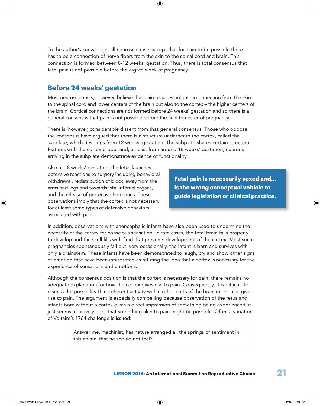To the author's knowledge, all neuroscientists accept that for pain to be possible there has to be a connection of nerve fibers from the skin to the spinal cord and brain. This connection is formed between 8-12 weeks' gestation. Thus, there is total consensus that fetal pain is not possible before the eighth week of pregnancy.

### **Before 24 weeks' gestation**

Most neuroscientists, however, believe that pain requires not just a connection from the skin to the spinal cord and lower centers of the brain but also to the cortex – the higher centers of the brain. Cortical connections are not formed before 24 weeks' gestation and so there is a general consensus that pain is not possible before the final trimester of pregnancy.

There is, however, considerable dissent from that general consensus. Those who oppose the consensus have argued that there is a structure underneath the cortex, called the subplate, which develops from 12 weeks' gestation. The subplate shares certain structural features with the cortex proper and, at least from around 18 weeks' gestation, neurons arriving in the subplate demonstrate evidence of functionality.

Also at 18 weeks' gestation, the fetus launches defensive reactions to surgery including behavioral withdrawal, redistribution of blood away from the arms and legs and towards vital internal organs, and the release of protective hormones. These observations imply that the cortex is not necessary for at least some types of defensive behaviors associated with pain.

**Fetal pain is necessarily vexed and… is the wrong conceptual vehicle to guide legislation or clinical practice.**

In addition, observations with anencephalic infants have also been used to undermine the necessity of the cortex for conscious sensation. In rare cases, the fetal brain fails properly to develop and the skull fills with fluid that prevents development of the cortex. Most such pregnancies spontaneously fail but, very occasionally, the infant is born and survives with only a brainstem. These infants have been demonstrated to laugh, cry and show other signs of emotion that have been interpreted as refuting the idea that a cortex is necessary for the experience of sensations and emotions.

Although the consensus position is that the cortex is necessary for pain, there remains no adequate explanation for how the cortex gives rise to pain. Consequently, it is difficult to dismiss the possibility that coherent activity within other parts of the brain might also give rise to pain. The argument is especially compelling because observation of the fetus and infants born without a cortex gives a direct impression of something being experienced; it just seems intuitively right that something akin to pain might be possible. Often a variation of Voltaire's 1764 challenge is issued:

> Answer me, machinist, has nature arranged all the springs of sentiment in this animal that he should not feel?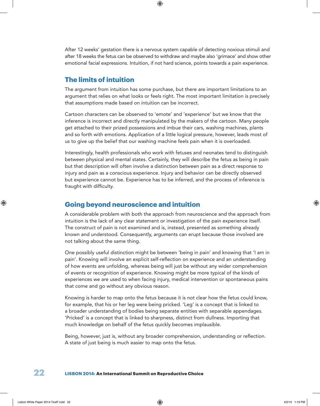After 12 weeks' gestation there is a nervous system capable of detecting noxious stimuli and after 18 weeks the fetus can be observed to withdraw and maybe also 'grimace' and show other emotional facial expressions. Intuition, if not hard science, points towards a pain experience.

# **The limits of intuition**

The argument from intuition has some purchase, but there are important limitations to an argument that relies on what looks or feels right. The most important limitation is precisely that assumptions made based on intuition can be incorrect.

Cartoon characters can be observed to 'emote' and 'experience' but we know that the inference is incorrect and directly manipulated by the makers of the cartoon. Many people get attached to their prized possessions and imbue their cars, washing machines, plants and so forth with emotions. Application of a little logical pressure, however, leads most of us to give up the belief that our washing machine feels pain when it is overloaded.

Interestingly, health professionals who work with fetuses and neonates tend to distinguish between physical and mental states. Certainly, they will describe the fetus as being in pain but that description will often involve a distinction between pain as a direct response to injury and pain as a conscious experience. Injury and behavior can be directly observed but experience cannot be. Experience has to be inferred, and the process of inference is fraught with difficulty.

# **Going beyond neuroscience and intuition**

A considerable problem with both the approach from neuroscience and the approach from intuition is the lack of any clear statement or investigation of the pain experience itself. The construct of pain is not examined and is, instead, presented as something already known and understood. Consequently, arguments can erupt because those involved are not talking about the same thing.

One possibly useful distinction might be between 'being in pain' and knowing that 'I am in pain'. Knowing will involve an explicit self-reflection on experience and an understanding of how events are unfolding, whereas being will just be without any wider comprehension of events or recognition of experience. Knowing might be more typical of the kinds of experiences we are used to when facing injury, medical intervention or spontaneous pains that come and go without any obvious reason.

Knowing is harder to map onto the fetus because it is not clear how the fetus could know, for example, that his or her leg were being pricked. 'Leg' is a concept that is linked to a broader understanding of bodies being separate entities with separable appendages. 'Pricked' is a concept that is linked to sharpness, distinct from dullness. Importing that much knowledge on behalf of the fetus quickly becomes implausible.

Being, however, just is, without any broader comprehension, understanding or reflection. A state of just being is much easier to map onto the fetus.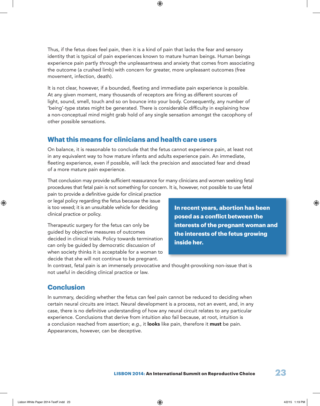Thus, if the fetus does feel pain, then it is a kind of pain that lacks the fear and sensory identity that is typical of pain experiences known to mature human beings. Human beings experience pain partly *through* the unpleasantness and anxiety that comes from associating the outcome (a crushed limb) with concern for greater, more unpleasant outcomes (free movement, infection, death).

It is not clear, however, if a bounded, fleeting and immediate pain experience is possible. At any given moment, many thousands of receptors are firing as different sources of light, sound, smell, touch and so on bounce into your body. Consequently, any number of 'being'-type states might be generated. There is considerable difficulty in explaining how a non-conceptual mind might grab hold of any single sensation amongst the cacophony of other possible sensations.

#### **What this means for clinicians and health care users**

On balance, it is reasonable to conclude that the fetus cannot experience pain, at least not in any equivalent way to how mature infants and adults experience pain. An immediate, fleeting experience, even if possible, will lack the precision and associated fear and dread of a more mature pain experience.

That conclusion may provide sufficient reassurance for many clinicians and women seeking fetal procedures that fetal pain is not something for concern. It is, however, not possible to use fetal

pain to provide a definitive guide for clinical practice or legal policy regarding the fetus because the issue is too vexed; it is an unsuitable vehicle for deciding clinical practice or policy.

Therapeutic surgery for the fetus can only be guided by objective measures of outcomes decided in clinical trials. Policy towards termination can only be guided by democratic discussion of when society thinks it is acceptable for a woman to decide that she will not continue to be pregnant.

**In recent years, abortion has been posed as a conflict between the interests of the pregnant woman and the interests of the fetus growing inside her.**

In contrast, fetal pain is an immensely provocative and thought-provoking non-issue that is not useful in deciding clinical practice or law.

# **Conclusion**

In summary, deciding whether the fetus can feel pain cannot be reduced to deciding when certain neural circuits are intact. Neural development is a process, not an event, and, in any case, there is no definitive understanding of how any neural circuit relates to any particular experience. Conclusions that derive from intuition also fail because, at root, intuition is a conclusion reached from assertion; *e.g.,* it looks like pain, therefore it must be pain. Appearances, however, can be deceptive.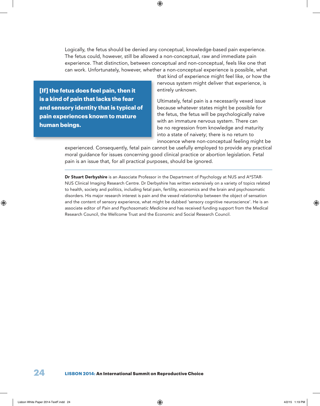Logically, the fetus should be denied any conceptual, knowledge-based pain experience. The fetus could, however, still be allowed a non-conceptual, raw and immediate pain experience. That distinction, between conceptual and non-conceptual, feels like one that can work. Unfortunately, however, whether a non-conceptual experience is possible, what

**[If] the fetus does feel pain, then it is a kind of pain that lacks the fear and sensory identity that is typical of pain experiences known to mature human beings.**

that kind of experience might feel like, or how the nervous system might deliver that experience, is entirely unknown.

Ultimately, fetal pain is a necessarily vexed issue because whatever states might be possible for the fetus, the fetus will be psychologically naive with an immature nervous system. There can be no regression from knowledge and maturity into a state of naivety; there is no return to innocence where non-conceptual feeling might be

experienced. Consequently, fetal pain cannot be usefully employed to provide any practical moral guidance for issues concerning good clinical practice or abortion legislation. Fetal pain is an issue that, for all practical purposes, should be ignored.

Dr Stuart Derbyshire is an Associate Professor in the Department of Psychology at NUS and A\*STAR-NUS Clinical Imaging Research Centre. Dr Derbyshire has written extensively on a variety of topics related to health, society and politics, including fetal pain, fertility, economics and the brain and psychosomatic disorders. His major research interest is pain and the vexed relationship between the object of sensation and the content of sensory experience, what might be dubbed 'sensory cognitive neuroscience'. He is an associate editor of *Pain and Psychosomatic Medicine* and has received funding support from the Medical Research Council, the Wellcome Trust and the Economic and Social Research Council.